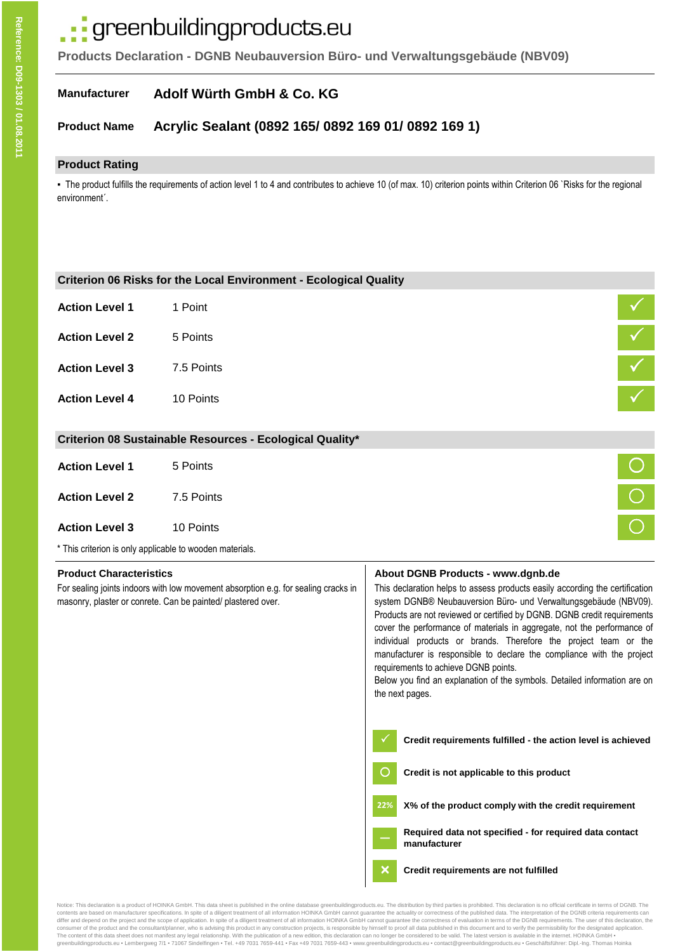# ·· greenbuildingproducts.eu

**Products Declaration - DGNB Neubauversion Büro- und Verwaltungsgebäude (NBV09)**

#### **Manufacturer Adolf Würth GmbH & Co. KG**

#### **Product Name Acrylic Sealant (0892 165/ 0892 169 01/ 0892 169 1)**

### **Product Rating**

▪ The product fulfills the requirements of action level 1 to 4 and contributes to achieve 10 (of max. 10) criterion points within Criterion 06 `Risks for the regional environment´.

|                                                                                                                                                                                      | Criterion 06 Risks for the Local Environment - Ecological Quality |                                                                                                                                                                                                                                                                                                                                                                                                                                                                                                                                                                                                                                    |  |
|--------------------------------------------------------------------------------------------------------------------------------------------------------------------------------------|-------------------------------------------------------------------|------------------------------------------------------------------------------------------------------------------------------------------------------------------------------------------------------------------------------------------------------------------------------------------------------------------------------------------------------------------------------------------------------------------------------------------------------------------------------------------------------------------------------------------------------------------------------------------------------------------------------------|--|
| <b>Action Level 1</b>                                                                                                                                                                | 1 Point                                                           |                                                                                                                                                                                                                                                                                                                                                                                                                                                                                                                                                                                                                                    |  |
| <b>Action Level 2</b>                                                                                                                                                                | 5 Points                                                          |                                                                                                                                                                                                                                                                                                                                                                                                                                                                                                                                                                                                                                    |  |
| <b>Action Level 3</b>                                                                                                                                                                | 7.5 Points                                                        |                                                                                                                                                                                                                                                                                                                                                                                                                                                                                                                                                                                                                                    |  |
| <b>Action Level 4</b>                                                                                                                                                                | 10 Points                                                         |                                                                                                                                                                                                                                                                                                                                                                                                                                                                                                                                                                                                                                    |  |
|                                                                                                                                                                                      | Criterion 08 Sustainable Resources - Ecological Quality*          |                                                                                                                                                                                                                                                                                                                                                                                                                                                                                                                                                                                                                                    |  |
| <b>Action Level 1</b>                                                                                                                                                                | 5 Points                                                          |                                                                                                                                                                                                                                                                                                                                                                                                                                                                                                                                                                                                                                    |  |
| <b>Action Level 2</b>                                                                                                                                                                | 7.5 Points                                                        | $\bigcirc$                                                                                                                                                                                                                                                                                                                                                                                                                                                                                                                                                                                                                         |  |
| <b>Action Level 3</b>                                                                                                                                                                | 10 Points                                                         |                                                                                                                                                                                                                                                                                                                                                                                                                                                                                                                                                                                                                                    |  |
|                                                                                                                                                                                      | * This criterion is only applicable to wooden materials.          |                                                                                                                                                                                                                                                                                                                                                                                                                                                                                                                                                                                                                                    |  |
| <b>Product Characteristics</b><br>For sealing joints indoors with low movement absorption e.g. for sealing cracks in<br>masonry, plaster or conrete. Can be painted/ plastered over. |                                                                   | About DGNB Products - www.dgnb.de<br>This declaration helps to assess products easily according the certification<br>system DGNB® Neubauversion Büro- und Verwaltungsgebäude (NBV09).<br>Products are not reviewed or certified by DGNB. DGNB credit requirements<br>cover the performance of materials in aggregate, not the performance of<br>individual products or brands. Therefore the project team or the<br>manufacturer is responsible to declare the compliance with the project<br>requirements to achieve DGNB points.<br>Below you find an explanation of the symbols. Detailed information are on<br>the next pages. |  |
|                                                                                                                                                                                      |                                                                   | Credit requirements fulfilled - the action level is achieved                                                                                                                                                                                                                                                                                                                                                                                                                                                                                                                                                                       |  |
|                                                                                                                                                                                      |                                                                   | Credit is not applicable to this product                                                                                                                                                                                                                                                                                                                                                                                                                                                                                                                                                                                           |  |
|                                                                                                                                                                                      |                                                                   | X% of the product comply with the credit requirement<br>22%                                                                                                                                                                                                                                                                                                                                                                                                                                                                                                                                                                        |  |
|                                                                                                                                                                                      |                                                                   | Required data not specified - for required data contact                                                                                                                                                                                                                                                                                                                                                                                                                                                                                                                                                                            |  |
|                                                                                                                                                                                      |                                                                   | manufacturer                                                                                                                                                                                                                                                                                                                                                                                                                                                                                                                                                                                                                       |  |

of the search of the DGNB criteria specifications In spite of a diligent treatment of all information HOINKA GmbH cannot quarantee the actuality or correctness of the published data. The interpretation of the DGNB criteria comences of the project and the scope of application. In spite of a diligent treatment of all information HOINKA GmbH cannot guarantee the correctness of evaluation in terms of the DGNB requirements. The user of this decla consumer of the product and the consultant/planner, who is advising this product in any construction projects, is responsible by himself to proof all data published in this document and to verify the permissibility for th